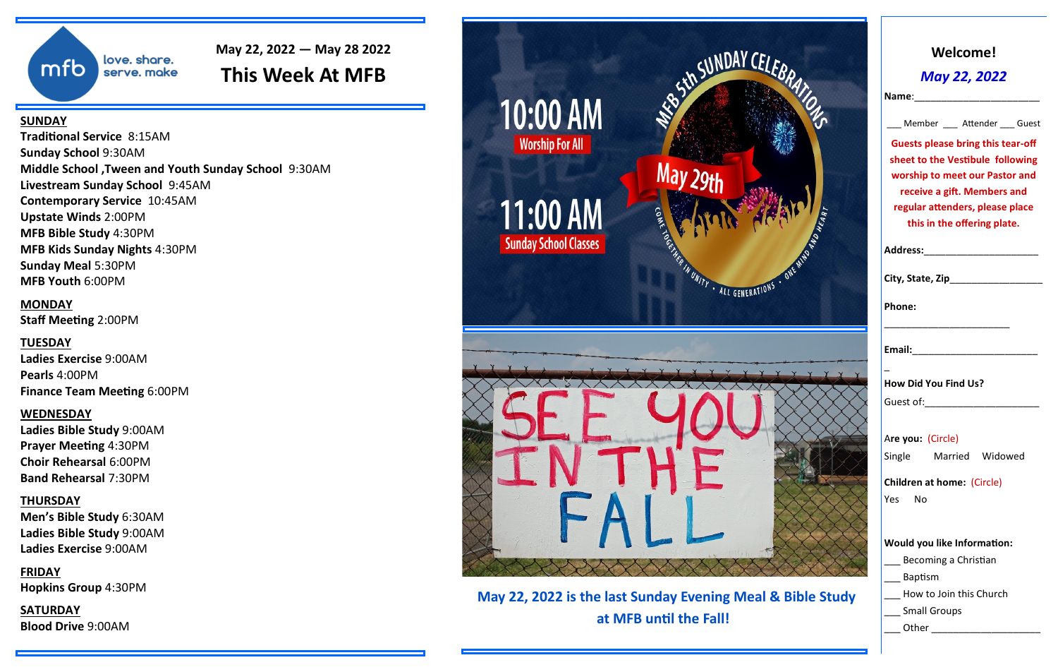

love. share. serve. make

### **May 22, 2022 — May 28 2022 This Week At MFB**

#### **SUNDAY**

**Traditional Service** 8:15AM **Sunday School** 9:30AM **Middle School ,Tween and Youth Sunday School** 9:30AM **Livestream Sunday School** 9:45AM **Contemporary Service** 10:45AM **Upstate Winds** 2:00PM **MFB Bible Study** 4:30PM **MFB Kids Sunday Nights** 4:30PM **Sunday Meal** 5:30PM **MFB Youth** 6:00PM

#### **MONDAY**

**Staff Meeting** 2:00PM

#### **TUESDAY**

**Ladies Exercise** 9:00AM **Pearls** 4:00PM **Finance Team Meeting** 6:00PM

#### **WEDNESDAY**

**Ladies Bible Study** 9:00AM **Prayer Meeting** 4:30PM **Choir Rehearsal** 6:00PM **Band Rehearsal** 7:30PM

#### **THURSDAY**

**Men's Bible Study** 6:30AM **Ladies Bible Study** 9:00AM **Ladies Exercise** 9:00AM

**FRIDAY Hopkins Group** 4:30PM

**SATURDAY Blood Drive** 9:00AM



 **May 22, 2022 is the last Sunday Evening Meal & Bible Study at MFB until the Fall!**

## **Welcome!** *May 22, 2022*

Member \_\_\_ Attender \_\_\_ Guest **Guests please bring this tear-off sheet to the Vestibule following worship to meet our Pastor and receive a gift. Members and regular attenders, please place this in the offering plate.** \_\_\_\_\_\_\_\_\_\_\_\_\_\_\_\_\_\_\_\_\_\_\_ **How Did You Find Us?** Single Married Widowed

**Children at home:** (Circle)

**Would you like Information:** Becoming a Christian How to Join this Church Small Groups

Other